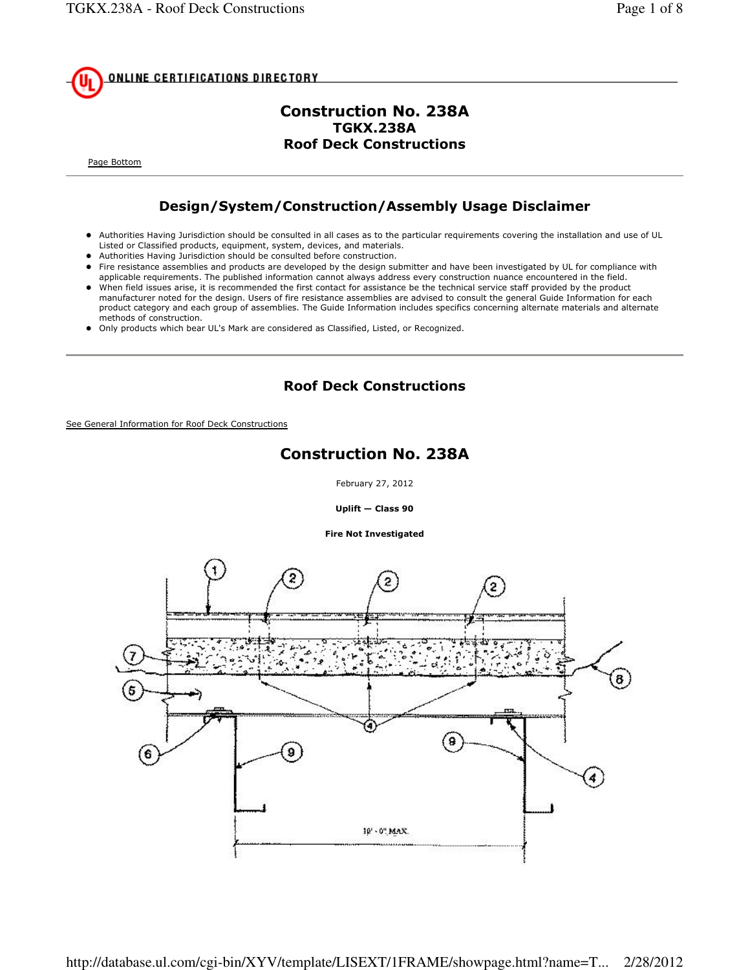

## Construction No. 238A TGKX.238A Roof Deck Constructions

Page Bottom

# Design/System/Construction/Assembly Usage Disclaimer

- Authorities Having Jurisdiction should be consulted in all cases as to the particular requirements covering the installation and use of UL Listed or Classified products, equipment, system, devices, and materials.
- Authorities Having Jurisdiction should be consulted before construction.
- Fire resistance assemblies and products are developed by the design submitter and have been investigated by UL for compliance with applicable requirements. The published information cannot always address every construction nuance encountered in the field.
- When field issues arise, it is recommended the first contact for assistance be the technical service staff provided by the product manufacturer noted for the design. Users of fire resistance assemblies are advised to consult the general Guide Information for each product category and each group of assemblies. The Guide Information includes specifics concerning alternate materials and alternate methods of construction.
- Only products which bear UL's Mark are considered as Classified, Listed, or Recognized.

## Roof Deck Constructions

See General Information for Roof Deck Constructions

# Construction No. 238A

February 27, 2012

Uplift — Class 90

Fire Not Investigated

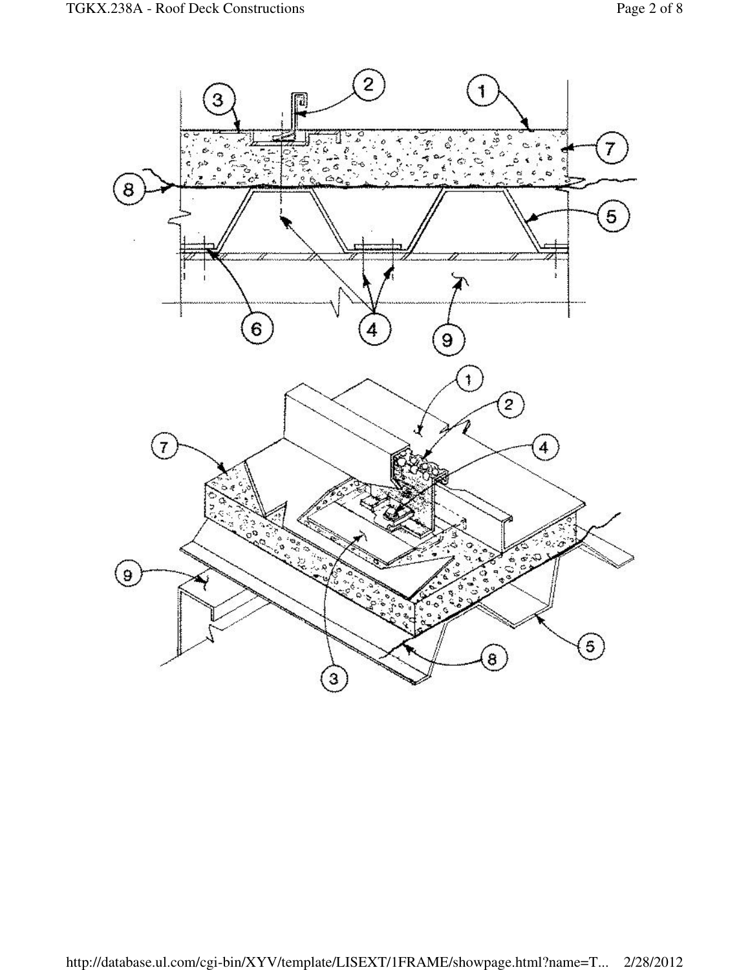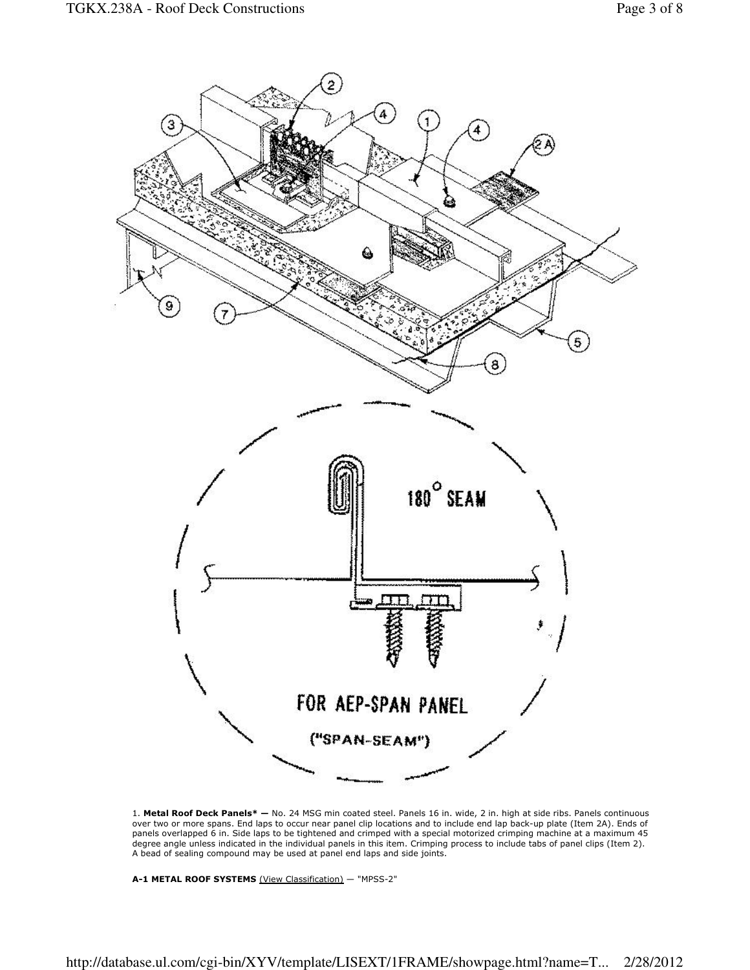

1. Metal Roof Deck Panels\* — No. 24 MSG min coated steel. Panels 16 in. wide, 2 in. high at side ribs. Panels continuous over two or more spans. End laps to occur near panel clip locations and to include end lap back-up plate (Item 2A). Ends of panels overlapped 6 in. Side laps to be tightened and crimped with a special motorized crimping machine at a maximum 45 degree angle unless indicated in the individual panels in this item. Crimping process to include tabs of panel clips (Item 2). A bead of sealing compound may be used at panel end laps and side joints.

A-1 METAL ROOF SYSTEMS (View Classification) — "MPSS-2"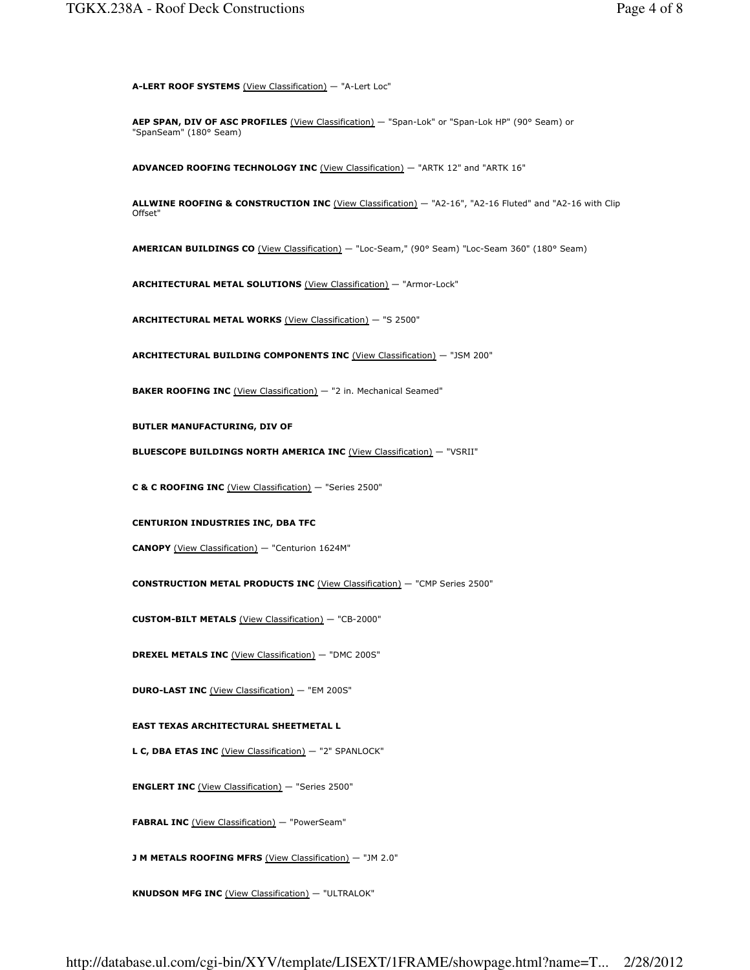A-LERT ROOF SYSTEMS (View Classification) — "A-Lert Loc"

AEP SPAN, DIV OF ASC PROFILES (View Classification) - "Span-Lok" or "Span-Lok HP" (90° Seam) or "SpanSeam" (180° Seam)

ADVANCED ROOFING TECHNOLOGY INC (View Classification) - "ARTK 12" and "ARTK 16"

ALLWINE ROOFING & CONSTRUCTION INC (View Classification) - "A2-16", "A2-16 Fluted" and "A2-16 with Clip Offset"

AMERICAN BUILDINGS CO (View Classification) - "Loc-Seam," (90° Seam) "Loc-Seam 360" (180° Seam)

ARCHITECTURAL METAL SOLUTIONS (View Classification) — "Armor-Lock"

ARCHITECTURAL METAL WORKS (View Classification) — "S 2500"

ARCHITECTURAL BUILDING COMPONENTS INC (View Classification) — "JSM 200"

BAKER ROOFING INC (View Classification) - "2 in. Mechanical Seamed"

BUTLER MANUFACTURING, DIV OF

BLUESCOPE BUILDINGS NORTH AMERICA INC (View Classification) - "VSRII"

C & C ROOFING INC (View Classification) — "Series 2500"

CENTURION INDUSTRIES INC, DBA TFC

CANOPY (View Classification) — "Centurion 1624M"

CONSTRUCTION METAL PRODUCTS INC (View Classification) — "CMP Series 2500"

CUSTOM-BILT METALS (View Classification) — "CB-2000"

DREXEL METALS INC (View Classification) — "DMC 200S"

DURO-LAST INC (View Classification) — "EM 200S"

## EAST TEXAS ARCHITECTURAL SHEETMETAL L

L C, DBA ETAS INC (View Classification) - "2" SPANLOCK"

ENGLERT INC (View Classification) — "Series 2500"

FABRAL INC (View Classification) - "PowerSeam"

J M METALS ROOFING MFRS (View Classification) — "JM 2.0"

KNUDSON MFG INC (View Classification) — "ULTRALOK"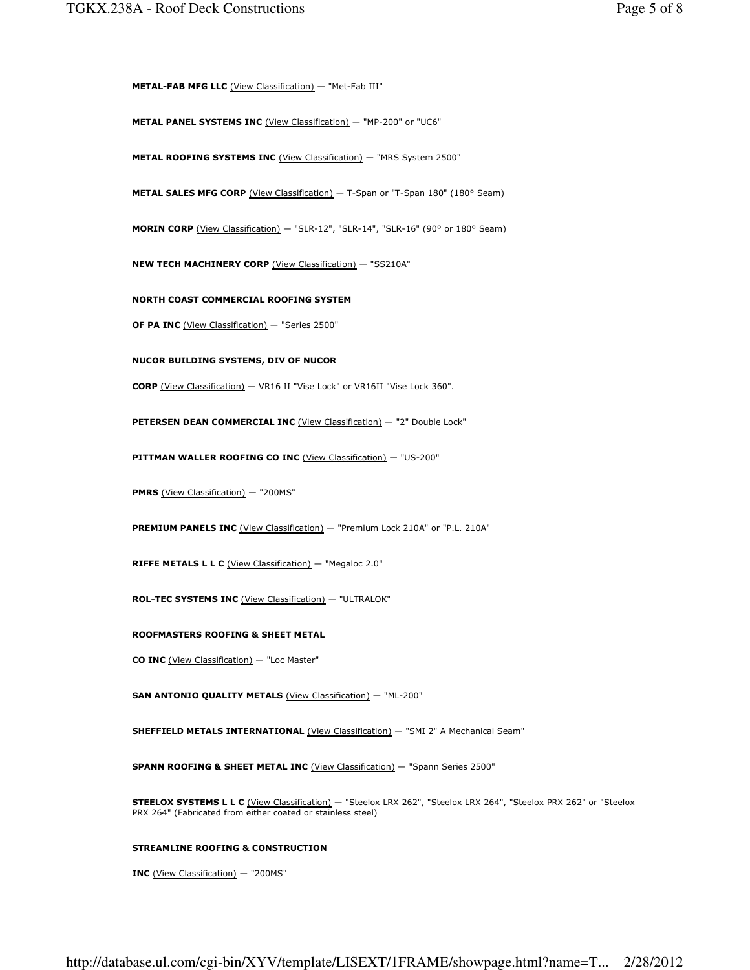METAL-FAB MFG LLC (View Classification) — "Met-Fab III"

METAL PANEL SYSTEMS INC (View Classification) - "MP-200" or "UC6"

METAL ROOFING SYSTEMS INC (View Classification) - "MRS System 2500"

METAL SALES MFG CORP (View Classification) - T-Span or "T-Span 180" (180° Seam)

MORIN CORP (View Classification) — "SLR-12", "SLR-14", "SLR-16" (90° or 180° Seam)

NEW TECH MACHINERY CORP (View Classification) — "SS210A"

NORTH COAST COMMERCIAL ROOFING SYSTEM

OF PA INC (View Classification) - "Series 2500"

NUCOR BUILDING SYSTEMS, DIV OF NUCOR

CORP (View Classification) — VR16 II "Vise Lock" or VR16II "Vise Lock 360".

PETERSEN DEAN COMMERCIAL INC (View Classification) - "2" Double Lock"

PITTMAN WALLER ROOFING CO INC (View Classification) - "US-200"

PMRS (View Classification) - "200MS"

PREMIUM PANELS INC (View Classification) - "Premium Lock 210A" or "P.L. 210A"

RIFFE METALS L L C (View Classification) - "Megaloc 2.0"

ROL-TEC SYSTEMS INC (View Classification) - "ULTRALOK"

ROOFMASTERS ROOFING & SHEET METAL

CO INC (View Classification) — "Loc Master"

SAN ANTONIO QUALITY METALS (View Classification) — "ML-200"

SHEFFIELD METALS INTERNATIONAL (View Classification) — "SMI 2" A Mechanical Seam"

SPANN ROOFING & SHEET METAL INC (View Classification) - "Spann Series 2500"

STEELOX SYSTEMS L L C (View Classification) — "Steelox LRX 262", "Steelox LRX 264", "Steelox PRX 262" or "Steelox PRX 264" (Fabricated from either coated or stainless steel)

## STREAMLINE ROOFING & CONSTRUCTION

INC (View Classification) — "200MS"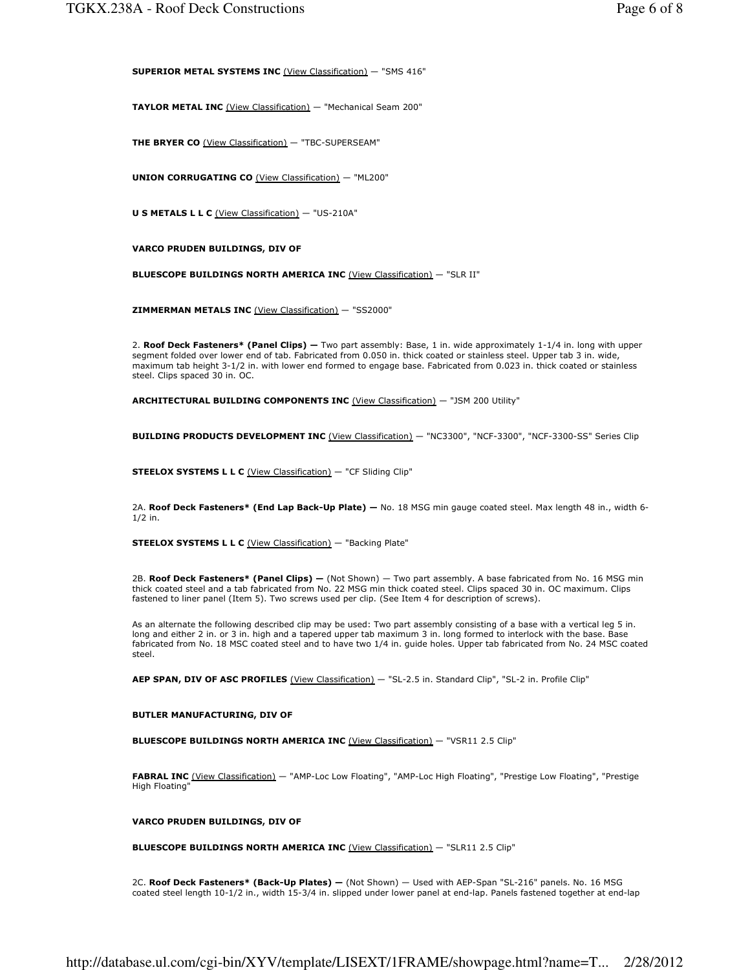SUPERIOR METAL SYSTEMS INC (View Classification) — "SMS 416"

TAYLOR METAL INC (View Classification) - "Mechanical Seam 200"

THE BRYER CO (View Classification) - "TBC-SUPERSEAM"

UNION CORRUGATING CO (View Classification) — "ML200"

U S METALS L L C (View Classification) — "US-210A"

VARCO PRUDEN BUILDINGS, DIV OF

BLUESCOPE BUILDINGS NORTH AMERICA INC (View Classification) - "SLR II"

ZIMMERMAN METALS INC (View Classification) — "SS2000"

2. Roof Deck Fasteners\* (Panel Clips) — Two part assembly: Base, 1 in. wide approximately 1-1/4 in. long with upper segment folded over lower end of tab. Fabricated from 0.050 in. thick coated or stainless steel. Upper tab 3 in. wide, maximum tab height 3-1/2 in. with lower end formed to engage base. Fabricated from 0.023 in. thick coated or stainless steel. Clips spaced 30 in. OC.

ARCHITECTURAL BUILDING COMPONENTS INC (View Classification) — "JSM 200 Utility"

BUILDING PRODUCTS DEVELOPMENT INC (View Classification) - "NC3300", "NCF-3300", "NCF-3300-SS" Series Clip

**STEELOX SYSTEMS L L C** (View Classification) - "CF Sliding Clip"

2A. Roof Deck Fasteners\* (End Lap Back-Up Plate) — No. 18 MSG min gauge coated steel. Max length 48 in., width 6-1/2 in.

STEELOX SYSTEMS L L C (View Classification) - "Backing Plate"

2B. Roof Deck Fasteners\* (Panel Clips) — (Not Shown) — Two part assembly. A base fabricated from No. 16 MSG min thick coated steel and a tab fabricated from No. 22 MSG min thick coated steel. Clips spaced 30 in. OC maximum. Clips fastened to liner panel (Item 5). Two screws used per clip. (See Item 4 for description of screws).

As an alternate the following described clip may be used: Two part assembly consisting of a base with a vertical leg 5 in. long and either 2 in. or 3 in. high and a tapered upper tab maximum 3 in. long formed to interlock with the base. Base fabricated from No. 18 MSC coated steel and to have two 1/4 in. guide holes. Upper tab fabricated from No. 24 MSC coated steel.

AEP SPAN, DIV OF ASC PROFILES (View Classification) - "SL-2.5 in. Standard Clip", "SL-2 in. Profile Clip"

### BUTLER MANUFACTURING, DIV OF

BLUESCOPE BUILDINGS NORTH AMERICA INC (View Classification) - "VSR11 2.5 Clip"

FABRAL INC (View Classification) — "AMP-Loc Low Floating", "AMP-Loc High Floating", "Prestige Low Floating", "Prestige High Floating"

### VARCO PRUDEN BUILDINGS, DIV OF

BLUESCOPE BUILDINGS NORTH AMERICA INC (View Classification) - "SLR11 2.5 Clip"

2C. Roof Deck Fasteners\* (Back-Up Plates) — (Not Shown) — Used with AEP-Span "SL-216" panels. No. 16 MSG coated steel length 10-1/2 in., width 15-3/4 in. slipped under lower panel at end-lap. Panels fastened together at end-lap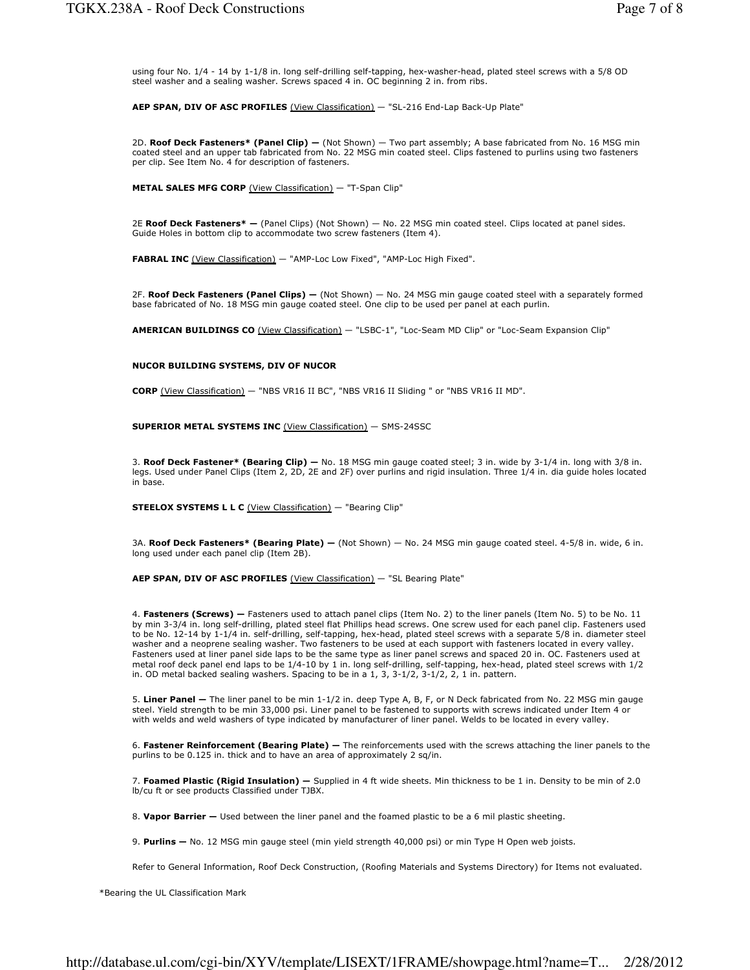using four No. 1/4 - 14 by 1-1/8 in. long self-drilling self-tapping, hex-washer-head, plated steel screws with a 5/8 OD steel washer and a sealing washer. Screws spaced 4 in. OC beginning 2 in. from ribs.

AEP SPAN, DIV OF ASC PROFILES (View Classification) - "SL-216 End-Lap Back-Up Plate"

2D. Roof Deck Fasteners\* (Panel Clip) - (Not Shown) - Two part assembly; A base fabricated from No. 16 MSG min coated steel and an upper tab fabricated from No. 22 MSG min coated steel. Clips fastened to purlins using two fasteners per clip. See Item No. 4 for description of fasteners.

METAL SALES MFG CORP (View Classification) — "T-Span Clip"

2E Roof Deck Fasteners\* - (Panel Clips) (Not Shown) - No. 22 MSG min coated steel. Clips located at panel sides. Guide Holes in bottom clip to accommodate two screw fasteners (Item 4).

FABRAL INC (View Classification) — "AMP-Loc Low Fixed", "AMP-Loc High Fixed".

2F. Roof Deck Fasteners (Panel Clips) — (Not Shown) — No. 24 MSG min gauge coated steel with a separately formed base fabricated of No. 18 MSG min gauge coated steel. One clip to be used per panel at each purlin.

AMERICAN BUILDINGS CO (View Classification) - "LSBC-1", "Loc-Seam MD Clip" or "Loc-Seam Expansion Clip"

#### NUCOR BUILDING SYSTEMS, DIV OF NUCOR

CORP (View Classification) — "NBS VR16 II BC", "NBS VR16 II Sliding " or "NBS VR16 II MD".

SUPERIOR METAL SYSTEMS INC (View Classification) — SMS-24SSC

3. Roof Deck Fastener\* (Bearing Clip) — No. 18 MSG min gauge coated steel; 3 in. wide by 3-1/4 in. long with 3/8 in. legs. Used under Panel Clips (Item 2, 2D, 2E and 2F) over purlins and rigid insulation. Three 1/4 in. dia guide holes located in base.

STEELOX SYSTEMS L L C (View Classification) — "Bearing Clip"

3A. Roof Deck Fasteners\* (Bearing Plate) - (Not Shown) - No. 24 MSG min gauge coated steel. 4-5/8 in. wide, 6 in. long used under each panel clip (Item 2B).

AEP SPAN, DIV OF ASC PROFILES (View Classification) - "SL Bearing Plate"

4. Fasteners (Screws) - Fasteners used to attach panel clips (Item No. 2) to the liner panels (Item No. 5) to be No. 11 by min 3-3/4 in. long self-drilling, plated steel flat Phillips head screws. One screw used for each panel clip. Fasteners used to be No. 12-14 by 1-1/4 in. self-drilling, self-tapping, hex-head, plated steel screws with a separate 5/8 in. diameter steel washer and a neoprene sealing washer. Two fasteners to be used at each support with fasteners located in every valley. Fasteners used at liner panel side laps to be the same type as liner panel screws and spaced 20 in. OC. Fasteners used at metal roof deck panel end laps to be 1/4-10 by 1 in. long self-drilling, self-tapping, hex-head, plated steel screws with 1/2 in. OD metal backed sealing washers. Spacing to be in a 1, 3, 3-1/2, 3-1/2, 2, 1 in. pattern.

5. Liner Panel - The liner panel to be min 1-1/2 in. deep Type A, B, F, or N Deck fabricated from No. 22 MSG min gauge steel. Yield strength to be min 33,000 psi. Liner panel to be fastened to supports with screws indicated under Item 4 or with welds and weld washers of type indicated by manufacturer of liner panel. Welds to be located in every valley.

6. Fastener Reinforcement (Bearing Plate) — The reinforcements used with the screws attaching the liner panels to the purlins to be 0.125 in. thick and to have an area of approximately 2 sq/in.

7. Foamed Plastic (Rigid Insulation) - Supplied in 4 ft wide sheets. Min thickness to be 1 in. Density to be min of 2.0 lb/cu ft or see products Classified under TJBX.

8. Vapor Barrier  $-$  Used between the liner panel and the foamed plastic to be a 6 mil plastic sheeting.

9. Purlins - No. 12 MSG min gauge steel (min yield strength 40,000 psi) or min Type H Open web joists.

Refer to General Information, Roof Deck Construction, (Roofing Materials and Systems Directory) for Items not evaluated.

\*Bearing the UL Classification Mark